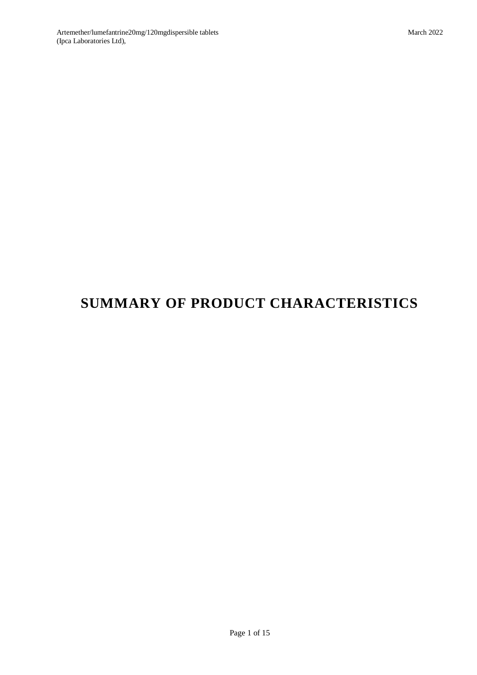# **SUMMARY OF PRODUCT CHARACTERISTICS**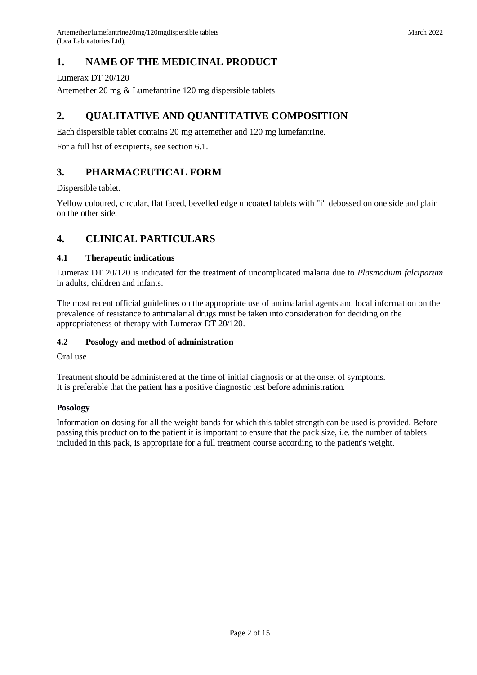# **1. NAME OF THE MEDICINAL PRODUCT**

Lumerax DT 20/120

Artemether 20 mg & Lumefantrine 120 mg dispersible tablets

# **2. QUALITATIVE AND QUANTITATIVE COMPOSITION**

Each dispersible tablet contains 20 mg artemether and 120 mg lumefantrine.

For a full list of excipients, see section 6.1.

# **3. PHARMACEUTICAL FORM**

Dispersible tablet.

Yellow coloured, circular, flat faced, bevelled edge uncoated tablets with "i" debossed on one side and plain on the other side.

# **4. CLINICAL PARTICULARS**

## **4.1 Therapeutic indications**

Lumerax DT 20/120 is indicated for the treatment of uncomplicated malaria due to *Plasmodium falciparum* in adults, children and infants.

The most recent official guidelines on the appropriate use of antimalarial agents and local information on the prevalence of resistance to antimalarial drugs must be taken into consideration for deciding on the appropriateness of therapy with Lumerax DT 20/120.

## **4.2 Posology and method of administration**

Oral use

Treatment should be administered at the time of initial diagnosis or at the onset of symptoms. It is preferable that the patient has a positive diagnostic test before administration.

## **Posology**

Information on dosing for all the weight bands for which this tablet strength can be used is provided. Before passing this product on to the patient it is important to ensure that the pack size, i.e. the number of tablets included in this pack, is appropriate for a full treatment course according to the patient's weight.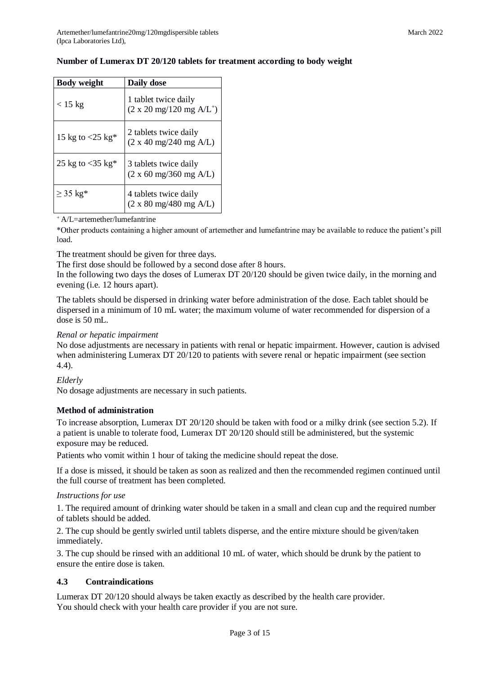| <b>Body weight</b>              | Daily dose                                                              |
|---------------------------------|-------------------------------------------------------------------------|
| $<$ 15 kg                       | 1 tablet twice daily<br>$(2 \times 20 \text{ mg}/120 \text{ mg A/L}^+)$ |
| 15 kg to $<$ 25 kg <sup>*</sup> | 2 tablets twice daily<br>(2 x 40 mg/240 mg A/L)                         |
| 25 kg to $<$ 35 kg <sup>*</sup> | 3 tablets twice daily<br>$(2 \times 60 \text{ mg}/360 \text{ mg A/L})$  |
| $\geq$ 35 kg <sup>*</sup>       | 4 tablets twice daily<br>$(2 \times 80 \text{ mg}/480 \text{ mg A/L})$  |

## **Number of Lumerax DT 20/120 tablets for treatment according to body weight**

 $+A/L=$ artemether/lumefantrine

\*Other products containing a higher amount of artemether and lumefantrine may be available to reduce the patient's pill load.

The treatment should be given for three days.

The first dose should be followed by a second dose after 8 hours.

In the following two days the doses of Lumerax DT 20/120 should be given twice daily, in the morning and evening (i.e. 12 hours apart).

The tablets should be dispersed in drinking water before administration of the dose. Each tablet should be dispersed in a minimum of 10 mL water; the maximum volume of water recommended for dispersion of a dose is 50 mL.

#### *Renal or hepatic impairment*

No dose adjustments are necessary in patients with renal or hepatic impairment. However, caution is advised when administering Lumerax DT 20/120 to patients with severe renal or hepatic impairment (see section 4.4).

## *Elderly*

No dosage adjustments are necessary in such patients.

## **Method of administration**

To increase absorption, Lumerax DT 20/120 should be taken with food or a milky drink (see section 5.2). If a patient is unable to tolerate food, Lumerax DT 20/120 should still be administered, but the systemic exposure may be reduced.

Patients who vomit within 1 hour of taking the medicine should repeat the dose.

If a dose is missed, it should be taken as soon as realized and then the recommended regimen continued until the full course of treatment has been completed.

#### *Instructions for use*

1. The required amount of drinking water should be taken in a small and clean cup and the required number of tablets should be added.

2. The cup should be gently swirled until tablets disperse, and the entire mixture should be given/taken immediately.

3. The cup should be rinsed with an additional 10 mL of water, which should be drunk by the patient to ensure the entire dose is taken.

## **4.3 Contraindications**

Lumerax DT 20/120 should always be taken exactly as described by the health care provider. You should check with your health care provider if you are not sure.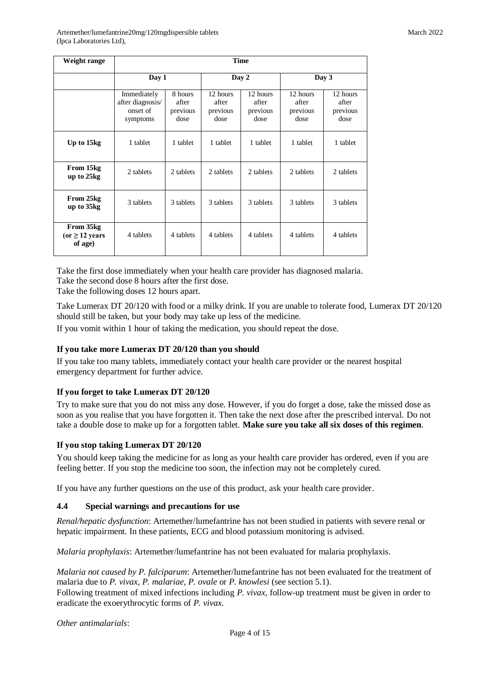Artemether/lumefantrine20mg/120mgdispersible tablets (Ipca Laboratories Ltd),

| Weight range                                | <b>Time</b>                                             |                                      |                                       |                                       |                                       |                                       |
|---------------------------------------------|---------------------------------------------------------|--------------------------------------|---------------------------------------|---------------------------------------|---------------------------------------|---------------------------------------|
|                                             | Day 1                                                   |                                      | Day 2                                 |                                       | Day 3                                 |                                       |
|                                             | Immediately<br>after diagnosis/<br>onset of<br>symptoms | 8 hours<br>after<br>previous<br>dose | 12 hours<br>after<br>previous<br>dose | 12 hours<br>after<br>previous<br>dose | 12 hours<br>after<br>previous<br>dose | 12 hours<br>after<br>previous<br>dose |
| Up to 15kg                                  | 1 tablet                                                | 1 tablet                             | 1 tablet                              | 1 tablet                              | 1 tablet                              | 1 tablet                              |
| From 15kg<br>up to 25kg                     | 2 tablets                                               | 2 tablets                            | 2 tablets                             | 2 tablets                             | 2 tablets                             | 2 tablets                             |
| From 25kg<br>up to 35kg                     | 3 tablets                                               | 3 tablets                            | 3 tablets                             | 3 tablets                             | 3 tablets                             | 3 tablets                             |
| From 35kg<br>(or $\geq$ 12 years<br>of age) | 4 tablets                                               | 4 tablets                            | 4 tablets                             | 4 tablets                             | 4 tablets                             | 4 tablets                             |

Take the first dose immediately when your health care provider has diagnosed malaria. Take the second dose 8 hours after the first dose.

Take the following doses 12 hours apart.

Take Lumerax DT 20/120 with food or a milky drink. If you are unable to tolerate food, Lumerax DT 20/120 should still be taken, but your body may take up less of the medicine.

If you vomit within 1 hour of taking the medication, you should repeat the dose.

## **If you take more Lumerax DT 20/120 than you should**

If you take too many tablets, immediately contact your health care provider or the nearest hospital emergency department for further advice.

## **If you forget to take Lumerax DT 20/120**

Try to make sure that you do not miss any dose. However, if you do forget a dose, take the missed dose as soon as you realise that you have forgotten it. Then take the next dose after the prescribed interval. Do not take a double dose to make up for a forgotten tablet. **Make sure you take all six doses of this regimen**.

## **If you stop taking Lumerax DT 20/120**

You should keep taking the medicine for as long as your health care provider has ordered, even if you are feeling better. If you stop the medicine too soon, the infection may not be completely cured.

If you have any further questions on the use of this product, ask your health care provider.

## **4.4 Special warnings and precautions for use**

*Renal/hepatic dysfunction*: Artemether/lumefantrine has not been studied in patients with severe renal or hepatic impairment. In these patients, ECG and blood potassium monitoring is advised.

*Malaria prophylaxis*: Artemether/lumefantrine has not been evaluated for malaria prophylaxis.

*Malaria not caused by P. falciparum*: Artemether/lumefantrine has not been evaluated for the treatment of malaria due to *P. vivax*, *P. malariae*, *P. ovale* or *P. knowlesi* (see section 5.1).

Following treatment of mixed infections including *P. vivax*, follow-up treatment must be given in order to eradicate the exoerythrocytic forms of *P. vivax*.

```
Other antimalarials:
```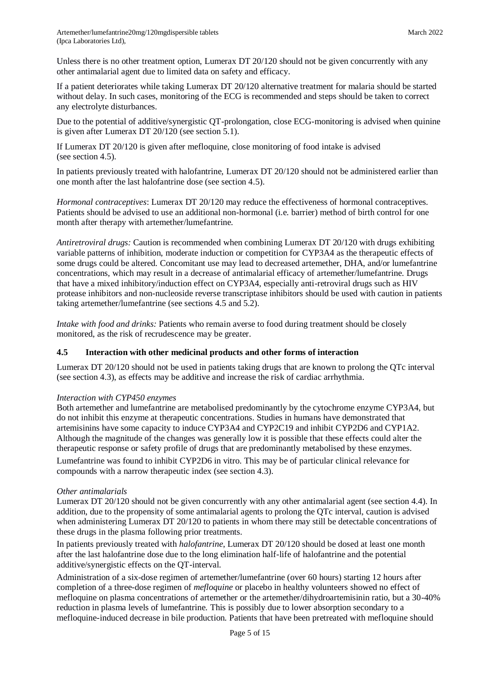Unless there is no other treatment option, Lumerax DT 20/120 should not be given concurrently with any other antimalarial agent due to limited data on safety and efficacy.

If a patient deteriorates while taking Lumerax DT 20/120 alternative treatment for malaria should be started without delay. In such cases, monitoring of the ECG is recommended and steps should be taken to correct any electrolyte disturbances.

Due to the potential of additive/synergistic QT-prolongation, close ECG-monitoring is advised when quinine is given after Lumerax DT 20/120 (see section 5.1).

If Lumerax DT 20/120 is given after mefloquine, close monitoring of food intake is advised (see section 4.5).

In patients previously treated with halofantrine, Lumerax DT 20/120 should not be administered earlier than one month after the last halofantrine dose (see section 4.5).

*Hormonal contraceptives*: Lumerax DT 20/120 may reduce the effectiveness of hormonal contraceptives. Patients should be advised to use an additional non-hormonal (i.e. barrier) method of birth control for one month after therapy with artemether/lumefantrine.

*Antiretroviral drugs:* Caution is recommended when combining Lumerax DT 20/120 with drugs exhibiting variable patterns of inhibition, moderate induction or competition for CYP3A4 as the therapeutic effects of some drugs could be altered. Concomitant use may lead to decreased artemether, DHA, and/or lumefantrine concentrations, which may result in a decrease of antimalarial efficacy of artemether/lumefantrine. Drugs that have a mixed inhibitory/induction effect on CYP3A4, especially anti-retroviral drugs such as HIV protease inhibitors and non-nucleoside reverse transcriptase inhibitors should be used with caution in patients taking artemether/lumefantrine (see sections 4.5 and 5.2).

*Intake with food and drinks:* Patients who remain averse to food during treatment should be closely monitored, as the risk of recrudescence may be greater.

## **4.5 Interaction with other medicinal products and other forms of interaction**

Lumerax DT 20/120 should not be used in patients taking drugs that are known to prolong the QTc interval (see section 4.3), as effects may be additive and increase the risk of cardiac arrhythmia.

## *Interaction with CYP450 enzymes*

Both artemether and lumefantrine are metabolised predominantly by the cytochrome enzyme CYP3A4, but do not inhibit this enzyme at therapeutic concentrations. Studies in humans have demonstrated that artemisinins have some capacity to induce CYP3A4 and CYP2C19 and inhibit CYP2D6 and CYP1A2. Although the magnitude of the changes was generally low it is possible that these effects could alter the therapeutic response or safety profile of drugs that are predominantly metabolised by these enzymes. Lumefantrine was found to inhibit CYP2D6 in vitro. This may be of particular clinical relevance for compounds with a narrow therapeutic index (see section 4.3).

## *Other antimalarials*

Lumerax DT 20/120 should not be given concurrently with any other antimalarial agent (see section 4.4). In addition, due to the propensity of some antimalarial agents to prolong the QTc interval, caution is advised when administering Lumerax DT 20/120 to patients in whom there may still be detectable concentrations of these drugs in the plasma following prior treatments.

In patients previously treated with *halofantrine*, Lumerax DT 20/120 should be dosed at least one month after the last halofantrine dose due to the long elimination half-life of halofantrine and the potential additive/synergistic effects on the QT-interval.

Administration of a six-dose regimen of artemether/lumefantrine (over 60 hours) starting 12 hours after completion of a three-dose regimen of *mefloquine* or placebo in healthy volunteers showed no effect of mefloquine on plasma concentrations of artemether or the artemether/dihydroartemisinin ratio, but a 30-40% reduction in plasma levels of lumefantrine. This is possibly due to lower absorption secondary to a mefloquine-induced decrease in bile production. Patients that have been pretreated with mefloquine should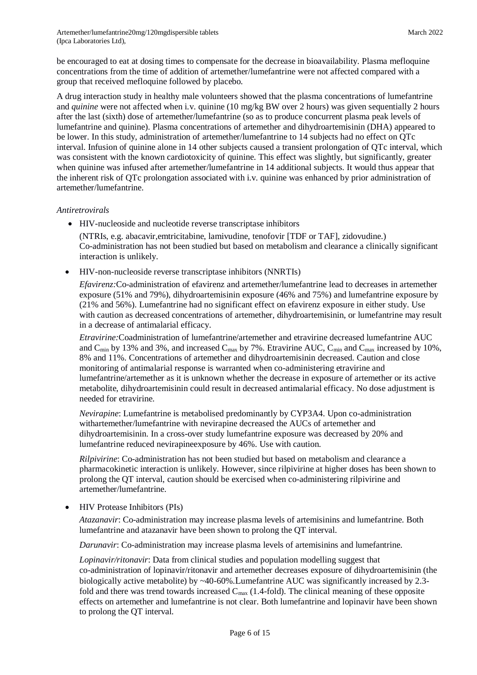be encouraged to eat at dosing times to compensate for the decrease in bioavailability. Plasma mefloquine concentrations from the time of addition of artemether/lumefantrine were not affected compared with a group that received mefloquine followed by placebo.

A drug interaction study in healthy male volunteers showed that the plasma concentrations of lumefantrine and *quinine* were not affected when i.v. quinine (10 mg/kg BW over 2 hours) was given sequentially 2 hours after the last (sixth) dose of artemether/lumefantrine (so as to produce concurrent plasma peak levels of lumefantrine and quinine). Plasma concentrations of artemether and dihydroartemisinin (DHA) appeared to be lower. In this study, administration of artemether/lumefantrine to 14 subjects had no effect on QTc interval. Infusion of quinine alone in 14 other subjects caused a transient prolongation of QTc interval, which was consistent with the known cardiotoxicity of quinine. This effect was slightly, but significantly, greater when quinine was infused after artemether/lumefantrine in 14 additional subjects. It would thus appear that the inherent risk of QTc prolongation associated with i.v. quinine was enhanced by prior administration of artemether/lumefantrine.

## *Antiretrovirals*

HIV-nucleoside and nucleotide reverse transcriptase inhibitors

(NTRIs, e.g. abacavir,emtricitabine, lamivudine, tenofovir [TDF or TAF], zidovudine.) Co-administration has not been studied but based on metabolism and clearance a clinically significant interaction is unlikely.

HIV-non-nucleoside reverse transcriptase inhibitors (NNRTIs)

*Efavirenz:*Co-administration of efavirenz and artemether/lumefantrine lead to decreases in artemether exposure (51% and 79%), dihydroartemisinin exposure (46% and 75%) and lumefantrine exposure by (21% and 56%). Lumefantrine had no significant effect on efavirenz exposure in either study. Use with caution as decreased concentrations of artemether, dihydroartemisinin, or lumefantrine may result in a decrease of antimalarial efficacy.

*Etravirine:*Coadministration of lumefantrine/artemether and etravirine decreased lumefantrine AUC and  $C_{\text{min}}$  by 13% and 3%, and increased  $C_{\text{max}}$  by 7%. Etravirine AUC,  $C_{\text{min}}$  and  $C_{\text{max}}$  increased by 10%, 8% and 11%. Concentrations of artemether and dihydroartemisinin decreased. Caution and close monitoring of antimalarial response is warranted when co-administering etravirine and lumefantrine/artemether as it is unknown whether the decrease in exposure of artemether or its active metabolite, dihydroartemisinin could result in decreased antimalarial efficacy. No dose adjustment is needed for etravirine.

*Nevirapine*: Lumefantrine is metabolised predominantly by CYP3A4. Upon co-administration withartemether/lumefantrine with nevirapine decreased the AUCs of artemether and dihydroartemisinin. In a cross-over study lumefantrine exposure was decreased by 20% and lumefantrine reduced nevirapineexposure by 46%. Use with caution.

*Rilpivirine*: Co-administration has not been studied but based on metabolism and clearance a pharmacokinetic interaction is unlikely. However, since rilpivirine at higher doses has been shown to prolong the QT interval, caution should be exercised when co-administering rilpivirine and artemether/lumefantrine.

• HIV Protease Inhibitors (PIs)

*Atazanavir*: Co-administration may increase plasma levels of artemisinins and lumefantrine. Both lumefantrine and atazanavir have been shown to prolong the QT interval.

*Darunavir*: Co-administration may increase plasma levels of artemisinins and lumefantrine.

*Lopinavir/ritonavir*: Data from clinical studies and population modelling suggest that co-administration of lopinavir/ritonavir and artemether decreases exposure of dihydroartemisinin (the biologically active metabolite) by  $\sim$ 40-60%. Lumefantrine AUC was significantly increased by 2.3fold and there was trend towards increased  $C_{\text{max}}$  (1.4-fold). The clinical meaning of these opposite effects on artemether and lumefantrine is not clear. Both lumefantrine and lopinavir have been shown to prolong the QT interval.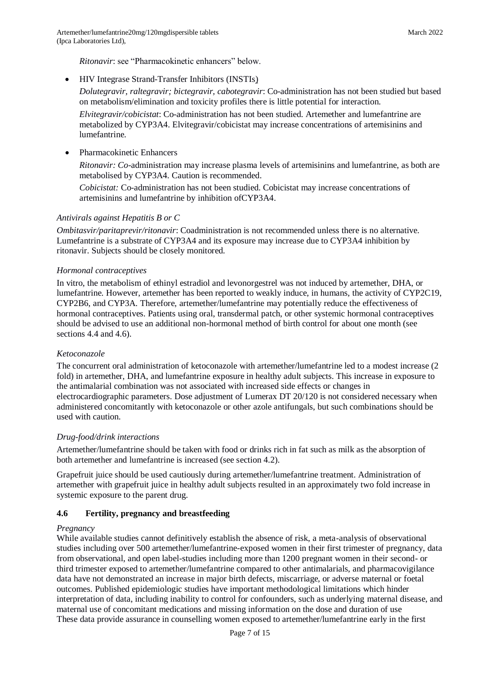*Ritonavir*: see "Pharmacokinetic enhancers" below.

• HIV Integrase Strand-Transfer Inhibitors (INSTIs)

*Dolutegravir, raltegravir; bictegravir, cabotegravir*: Co-administration has not been studied but based on metabolism/elimination and toxicity profiles there is little potential for interaction.

*Elvitegravir/cobicistat*: Co-administration has not been studied. Artemether and lumefantrine are metabolized by CYP3A4. Elvitegravir/cobicistat may increase concentrations of artemisinins and lumefantrine.

Pharmacokinetic Enhancers

*Ritonavir: Co-*administration may increase plasma levels of artemisinins and lumefantrine, as both are metabolised by CYP3A4. Caution is recommended.

*Cobicistat:* Co-administration has not been studied. Cobicistat may increase concentrations of artemisinins and lumefantrine by inhibition ofCYP3A4.

## *Antivirals against Hepatitis B or C*

*Ombitasvir/paritaprevir/ritonavir*: Coadministration is not recommended unless there is no alternative. Lumefantrine is a substrate of CYP3A4 and its exposure may increase due to CYP3A4 inhibition by ritonavir. Subjects should be closely monitored.

## *Hormonal contraceptives*

In vitro, the metabolism of ethinyl estradiol and levonorgestrel was not induced by artemether, DHA, or lumefantrine. However, artemether has been reported to weakly induce, in humans, the activity of CYP2C19, CYP2B6, and CYP3A. Therefore, artemether/lumefantrine may potentially reduce the effectiveness of hormonal contraceptives. Patients using oral, transdermal patch, or other systemic hormonal contraceptives should be advised to use an additional non-hormonal method of birth control for about one month (see sections 4.4 and 4.6).

## *Ketoconazole*

The concurrent oral administration of ketoconazole with artemether/lumefantrine led to a modest increase (2 fold) in artemether, DHA, and lumefantrine exposure in healthy adult subjects. This increase in exposure to the antimalarial combination was not associated with increased side effects or changes in electrocardiographic parameters. Dose adjustment of Lumerax DT 20/120 is not considered necessary when administered concomitantly with ketoconazole or other azole antifungals, but such combinations should be used with caution.

## *Drug-food/drink interactions*

Artemether/lumefantrine should be taken with food or drinks rich in fat such as milk as the absorption of both artemether and lumefantrine is increased (see section 4.2).

Grapefruit juice should be used cautiously during artemether/lumefantrine treatment. Administration of artemether with grapefruit juice in healthy adult subjects resulted in an approximately two fold increase in systemic exposure to the parent drug.

## **4.6 Fertility, pregnancy and breastfeeding**

## *Pregnancy*

While available studies cannot definitively establish the absence of risk, a meta-analysis of observational studies including over 500 artemether/lumefantrine-exposed women in their first trimester of pregnancy, data from observational, and open label-studies including more than 1200 pregnant women in their second- or third trimester exposed to artemether/lumefantrine compared to other antimalarials, and pharmacovigilance data have not demonstrated an increase in major birth defects, miscarriage, or adverse maternal or foetal outcomes. Published epidemiologic studies have important methodological limitations which hinder interpretation of data, including inability to control for confounders, such as underlying maternal disease, and maternal use of concomitant medications and missing information on the dose and duration of use These data provide assurance in counselling women exposed to artemether/lumefantrine early in the first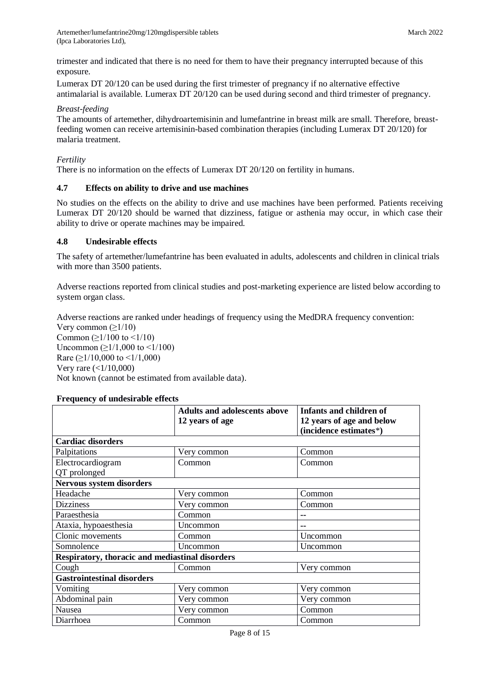Artemether/lumefantrine20mg/120mgdispersible tablets (Ipca Laboratories Ltd),

trimester and indicated that there is no need for them to have their pregnancy interrupted because of this exposure.

Lumerax DT 20/120 can be used during the first trimester of pregnancy if no alternative effective antimalarial is available. Lumerax DT 20/120 can be used during second and third trimester of pregnancy.

#### *Breast-feeding*

The amounts of artemether, dihydroartemisinin and lumefantrine in breast milk are small. Therefore, breastfeeding women can receive artemisinin-based combination therapies (including Lumerax DT 20/120) for malaria treatment.

#### *Fertility*

There is no information on the effects of Lumerax DT 20/120 on fertility in humans.

## **4.7 Effects on ability to drive and use machines**

No studies on the effects on the ability to drive and use machines have been performed. Patients receiving Lumerax DT 20/120 should be warned that dizziness, fatigue or asthenia may occur, in which case their ability to drive or operate machines may be impaired.

#### **4.8 Undesirable effects**

The safety of artemether/lumefantrine has been evaluated in adults, adolescents and children in clinical trials with more than 3500 patients.

Adverse reactions reported from clinical studies and post-marketing experience are listed below according to system organ class.

Adverse reactions are ranked under headings of frequency using the MedDRA frequency convention: Very common  $(\geq 1/10)$ Common ( $\geq$ 1/100 to <1/10) Uncommon  $(≥1/1,000$  to  $≤1/100)$ Rare ( $\geq$ 1/10,000 to <1/1,000) Very rare  $(<1/10,000)$ Not known (cannot be estimated from available data).

#### **Frequency of undesirable effects**

|                                                 | <b>Adults and adolescents above</b> | <b>Infants and children of</b> |  |  |
|-------------------------------------------------|-------------------------------------|--------------------------------|--|--|
|                                                 | 12 years of age                     | 12 years of age and below      |  |  |
|                                                 |                                     | (incidence estimates*)         |  |  |
| <b>Cardiac disorders</b>                        |                                     |                                |  |  |
| Palpitations                                    | Very common                         | Common                         |  |  |
| Electrocardiogram                               | Common                              | Common                         |  |  |
| QT prolonged                                    |                                     |                                |  |  |
| <b>Nervous system disorders</b>                 |                                     |                                |  |  |
| Headache                                        | Very common                         | Common                         |  |  |
| <b>Dizziness</b>                                | Very common                         | Common                         |  |  |
| Paraesthesia                                    | Common                              | --                             |  |  |
| Ataxia, hypoaesthesia                           | Uncommon                            | --                             |  |  |
| Clonic movements                                | Common                              | Uncommon                       |  |  |
| Somnolence                                      | Uncommon                            | Uncommon                       |  |  |
| Respiratory, thoracic and mediastinal disorders |                                     |                                |  |  |
| Cough                                           | Common                              | Very common                    |  |  |
| <b>Gastrointestinal disorders</b>               |                                     |                                |  |  |
| Vomiting                                        | Very common                         | Very common                    |  |  |
| Abdominal pain                                  | Very common                         | Very common                    |  |  |
| Nausea                                          | Very common                         | Common                         |  |  |
| Diarrhoea                                       | Common                              | Common                         |  |  |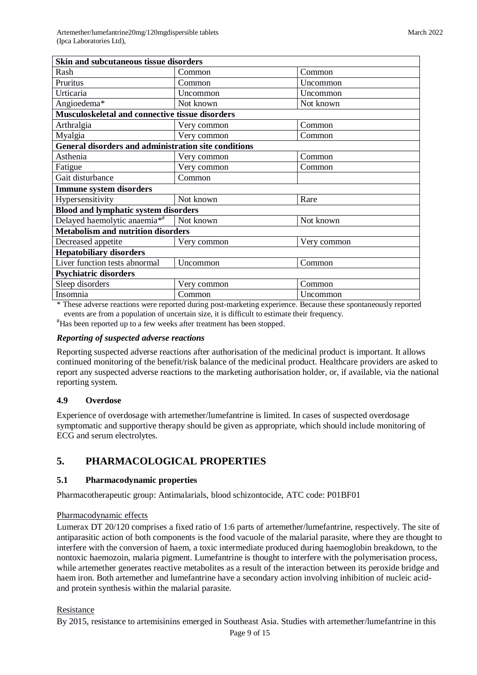| <b>Skin and subcutaneous tissue disorders</b>               |             |             |  |  |
|-------------------------------------------------------------|-------------|-------------|--|--|
| Rash                                                        | Common      | Common      |  |  |
| Pruritus                                                    | Common      | Uncommon    |  |  |
| Urticaria                                                   | Uncommon    | Uncommon    |  |  |
| Angioedema*                                                 | Not known   | Not known   |  |  |
| Musculoskeletal and connective tissue disorders             |             |             |  |  |
| Arthralgia                                                  | Very common | Common      |  |  |
| Myalgia                                                     | Very common | Common      |  |  |
| <b>General disorders and administration site conditions</b> |             |             |  |  |
| Asthenia                                                    | Very common | Common      |  |  |
| Fatigue                                                     | Very common | Common      |  |  |
| Gait disturbance                                            | Common      |             |  |  |
| <b>Immune system disorders</b>                              |             |             |  |  |
| Hypersensitivity                                            | Not known   | Rare        |  |  |
| <b>Blood and lymphatic system disorders</b>                 |             |             |  |  |
| Delayed haemolytic anaemia**                                | Not known   | Not known   |  |  |
| <b>Metabolism and nutrition disorders</b>                   |             |             |  |  |
| Decreased appetite                                          | Very common | Very common |  |  |
| <b>Hepatobiliary disorders</b>                              |             |             |  |  |
| Liver function tests abnormal                               | Uncommon    | Common      |  |  |
| <b>Psychiatric disorders</b>                                |             |             |  |  |
| Sleep disorders                                             | Very common | Common      |  |  |
| Insomnia                                                    | Common      | Uncommon    |  |  |

\* These adverse reactions were reported during post-marketing experience. Because these spontaneously reported events are from a population of uncertain size, it is difficult to estimate their frequency.

#Has been reported up to a few weeks after treatment has been stopped.

## *Reporting of suspected adverse reactions*

Reporting suspected adverse reactions after authorisation of the medicinal product is important. It allows continued monitoring of the benefit/risk balance of the medicinal product. Healthcare providers are asked to report any suspected adverse reactions to the marketing authorisation holder, or, if available, via the national reporting system.

## **4.9 Overdose**

Experience of overdosage with artemether/lumefantrine is limited. In cases of suspected overdosage symptomatic and supportive therapy should be given as appropriate, which should include monitoring of ECG and serum electrolytes.

# **5. PHARMACOLOGICAL PROPERTIES**

## **5.1 Pharmacodynamic properties**

Pharmacotherapeutic group: Antimalarials, blood schizontocide, ATC code: P01BF01

## Pharmacodynamic effects

Lumerax DT 20/120 comprises a fixed ratio of 1:6 parts of artemether/lumefantrine, respectively. The site of antiparasitic action of both components is the food vacuole of the malarial parasite, where they are thought to interfere with the conversion of haem, a toxic intermediate produced during haemoglobin breakdown, to the nontoxic haemozoin, malaria pigment. Lumefantrine is thought to interfere with the polymerisation process, while artemether generates reactive metabolites as a result of the interaction between its peroxide bridge and haem iron. Both artemether and lumefantrine have a secondary action involving inhibition of nucleic acidand protein synthesis within the malarial parasite.

## Resistance

By 2015, resistance to artemisinins emerged in Southeast Asia. Studies with artemether/lumefantrine in this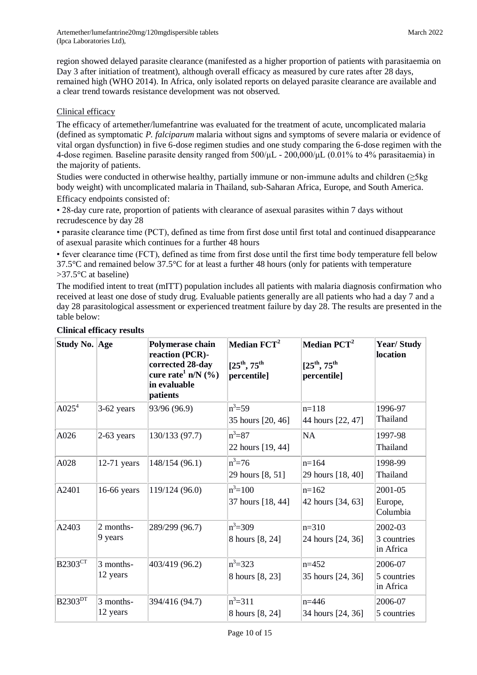region showed delayed parasite clearance (manifested as a higher proportion of patients with parasitaemia on Day 3 after initiation of treatment), although overall efficacy as measured by cure rates after 28 days, remained high (WHO 2014). In Africa, only isolated reports on delayed parasite clearance are available and a clear trend towards resistance development was not observed.

## Clinical efficacy

The efficacy of artemether/lumefantrine was evaluated for the treatment of acute, uncomplicated malaria (defined as symptomatic *P. falciparum* malaria without signs and symptoms of severe malaria or evidence of vital organ dysfunction) in five 6-dose regimen studies and one study comparing the 6-dose regimen with the 4-dose regimen. Baseline parasite density ranged from  $500/\mu$ L  $- 200,000/\mu$ L  $(0.01\%$  to 4% parasitaemia) in the majority of patients.

Studies were conducted in otherwise healthy, partially immune or non-immune adults and children (≥5kg body weight) with uncomplicated malaria in Thailand, sub-Saharan Africa, Europe, and South America. Efficacy endpoints consisted of:

• 28-day cure rate, proportion of patients with clearance of asexual parasites within 7 days without recrudescence by day 28

• parasite clearance time (PCT), defined as time from first dose until first total and continued disappearance of asexual parasite which continues for a further 48 hours

• fever clearance time (FCT), defined as time from first dose until the first time body temperature fell below 37.5°C and remained below 37.5°C for at least a further 48 hours (only for patients with temperature >37.5°C at baseline)

The modified intent to treat (mITT) population includes all patients with malaria diagnosis confirmation who received at least one dose of study drug. Evaluable patients generally are all patients who had a day 7 and a day 28 parasitological assessment or experienced treatment failure by day 28. The results are presented in the table below:

| Study No. Age              |                       | Polymerase chain<br>reaction (PCR)-<br>corrected 28-day<br>cure rate <sup>1</sup> n/N $(\%$ )<br>in evaluable<br>patients | Median FCT <sup>2</sup><br>$[25^{th}, 75^{th}]$<br>percentile] | Median PCT <sup>2</sup><br>$[25^{th}, 75^{th}]$<br>percentile] | <b>Year/Study</b><br>location       |
|----------------------------|-----------------------|---------------------------------------------------------------------------------------------------------------------------|----------------------------------------------------------------|----------------------------------------------------------------|-------------------------------------|
| AO25 <sup>4</sup>          | 3-62 years            | 93/96 (96.9)                                                                                                              | $n^3 = 59$<br>35 hours [20, 46]                                | $n=118$<br>44 hours [22, 47]                                   | 1996-97<br>Thailand                 |
| A026                       | $2-63$ years          | 130/133 (97.7)                                                                                                            | $n^3 = 87$<br>22 hours [19, 44]                                | NA                                                             | 1997-98<br>Thailand                 |
| A028                       | $12-71$ years         | 148/154 (96.1)                                                                                                            | $n^3 = 76$<br>29 hours [8, 51]                                 | $n=164$<br>29 hours [18, 40]                                   | 1998-99<br>Thailand                 |
| A2401                      | 16-66 years           | 119/124 (96.0)                                                                                                            | $n^3 = 100$<br>37 hours [18, 44]                               | $n=162$<br>42 hours [34, 63]                                   | 2001-05<br>Europe,<br>Columbia      |
| A2403                      | 2 months-<br>9 years  | 289/299 (96.7)                                                                                                            | $n^3 = 309$<br>8 hours [8, 24]                                 | $n=310$<br>24 hours [24, 36]                                   | 2002-03<br>3 countries<br>in Africa |
| <b>B2303CT</b>             | 3 months-<br>12 years | 403/419 (96.2)                                                                                                            | $n^3 = 323$<br>8 hours [8, 23]                                 | $n=452$<br>35 hours [24, 36]                                   | 2006-07<br>5 countries<br>in Africa |
| <b>B2303</b> <sup>DT</sup> | 3 months-<br>12 years | 394/416 (94.7)                                                                                                            | $n^3 = 311$<br>8 hours [8, 24]                                 | $n=446$<br>34 hours [24, 36]                                   | 2006-07<br>5 countries              |

# **Clinical efficacy results**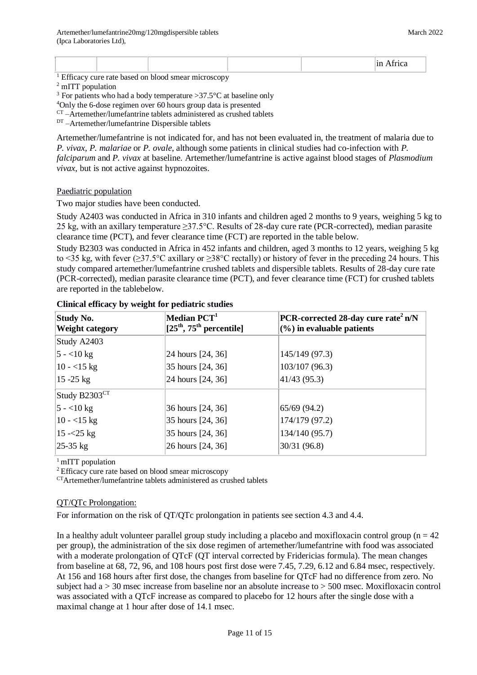| $  -$ | -- |  |              |
|-------|----|--|--------------|
|       |    |  | <b>STATE</b> |

<sup>1</sup> Efficacy cure rate based on blood smear microscopy

<sup>2</sup> mITT population

<sup>3</sup> For patients who had a body temperature  $>37.5$ °C at baseline only

<sup>4</sup>Only the 6-dose regimen over 60 hours group data is presented

 $CT -$ Artemether/lumefantrine tablets administered as crushed tablets

DT-Artemether/lumefantrine Dispersible tablets

Artemether/lumefantrine is not indicated for, and has not been evaluated in, the treatment of malaria due to *P. vivax*, *P. malariae* or *P. ovale*, although some patients in clinical studies had co-infection with *P. falciparum* and *P. vivax* at baseline. Artemether/lumefantrine is active against blood stages of *Plasmodium vivax*, but is not active against hypnozoites.

## Paediatric population

Two major studies have been conducted.

Study A2403 was conducted in Africa in 310 infants and children aged 2 months to 9 years, weighing 5 kg to 25 kg, with an axillary temperature ≥37.5°C. Results of 28-day cure rate (PCR-corrected), median parasite clearance time (PCT), and fever clearance time (FCT) are reported in the table below.

Study B2303 was conducted in Africa in 452 infants and children, aged 3 months to 12 years, weighing 5 kg to <35 kg, with fever (≥37.5°C axillary or ≥38°C rectally) or history of fever in the preceding 24 hours. This study compared artemether/lumefantrine crushed tablets and dispersible tablets. Results of 28-day cure rate (PCR-corrected), median parasite clearance time (PCT), and fever clearance time (FCT) for crushed tablets are reported in the tablebelow.

| <b>Study No.</b><br><b>Weight category</b> | Median PCT <sup>1</sup><br>$[25th, 75th$ percentile] | PCR-corrected 28-day cure rate <sup>2</sup> n/N<br>$(\% )$ in evaluable patients |
|--------------------------------------------|------------------------------------------------------|----------------------------------------------------------------------------------|
| Study A2403                                |                                                      |                                                                                  |
| $5 - 10 \text{ kg}$                        | 24 hours [24, 36]                                    | 145/149 (97.3)                                                                   |
| $10 - 15$ kg                               | 35 hours [24, 36]                                    | 103/107 (96.3)                                                                   |
| $15 - 25$ kg                               | 24 hours [24, 36]                                    | 41/43(95.3)                                                                      |
| Study B2303 <sup>CT</sup>                  |                                                      |                                                                                  |
| $ 5 - 10 \text{ kg} $                      | 36 hours [24, 36]                                    | 65/69(94.2)                                                                      |
| $10 - 15$ kg                               | 35 hours [24, 36]                                    | 174/179 (97.2)                                                                   |
| $15 - 25$ kg                               | 35 hours [24, 36]                                    | 134/140 (95.7)                                                                   |
| $ 25-35 \text{ kg} $                       | 26 hours [24, 36]                                    | 30/31(96.8)                                                                      |

## **Clinical efficacy by weight for pediatric studies**

 $1$  mITT population

<sup>2</sup>Efficacy cure rate based on blood smear microscopy

CTArtemether/lumefantrine tablets administered as crushed tablets

## QT/QTc Prolongation:

For information on the risk of QT/QTc prolongation in patients see section 4.3 and 4.4.

In a healthy adult volunteer parallel group study including a placebo and moxifloxacin control group ( $n = 42$ ) per group), the administration of the six dose regimen of artemether/lumefantrine with food was associated with a moderate prolongation of QTcF (QT interval corrected by Fridericias formula). The mean changes from baseline at 68, 72, 96, and 108 hours post first dose were 7.45, 7.29, 6.12 and 6.84 msec, respectively. At 156 and 168 hours after first dose, the changes from baseline for QTcF had no difference from zero. No subject had a > 30 msec increase from baseline nor an absolute increase to > 500 msec. Moxifloxacin control was associated with a QTcF increase as compared to placebo for 12 hours after the single dose with a maximal change at 1 hour after dose of 14.1 msec.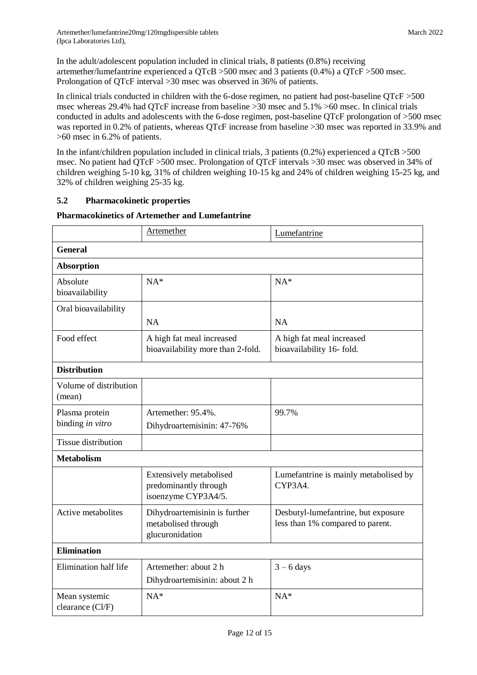In the adult/adolescent population included in clinical trials, 8 patients (0.8%) receiving artemether/lumefantrine experienced a QTcB >500 msec and 3 patients (0.4%) a QTcF >500 msec. Prolongation of QTcF interval >30 msec was observed in 36% of patients.

In clinical trials conducted in children with the 6-dose regimen, no patient had post-baseline QTcF >500 msec whereas 29.4% had QTcF increase from baseline >30 msec and 5.1% >60 msec. In clinical trials conducted in adults and adolescents with the 6-dose regimen, post-baseline QTcF prolongation of >500 msec was reported in 0.2% of patients, whereas QTcF increase from baseline >30 msec was reported in 33.9% and >60 msec in 6.2% of patients.

In the infant/children population included in clinical trials, 3 patients (0.2%) experienced a QTcB >500 msec. No patient had QTcF >500 msec. Prolongation of QTcF intervals >30 msec was observed in 34% of children weighing 5-10 kg, 31% of children weighing 10-15 kg and 24% of children weighing 15-25 kg, and 32% of children weighing 25-35 kg.

# **5.2 Pharmacokinetic properties**

## **Pharmacokinetics of Artemether and Lumefantrine**

|                                    | Artemether                                                              | Lumefantrine                                                            |
|------------------------------------|-------------------------------------------------------------------------|-------------------------------------------------------------------------|
| <b>General</b>                     |                                                                         |                                                                         |
| <b>Absorption</b>                  |                                                                         |                                                                         |
| Absolute<br>bioavailability        | $NA*$                                                                   | $NA*$                                                                   |
| Oral bioavailability               | <b>NA</b>                                                               | <b>NA</b>                                                               |
| Food effect                        | A high fat meal increased<br>bioavailability more than 2-fold.          | A high fat meal increased<br>bioavailability 16- fold.                  |
| <b>Distribution</b>                |                                                                         |                                                                         |
| Volume of distribution<br>(mean)   |                                                                         |                                                                         |
| Plasma protein<br>binding in vitro | Artemether: 95.4%.<br>Dihydroartemisinin: 47-76%                        | 99.7%                                                                   |
| <b>Tissue distribution</b>         |                                                                         |                                                                         |
| <b>Metabolism</b>                  |                                                                         |                                                                         |
|                                    | Extensively metabolised<br>predominantly through<br>isoenzyme CYP3A4/5. | Lumefantrine is mainly metabolised by<br>CYP3A4.                        |
| Active metabolites                 | Dihydroartemisinin is further<br>metabolised through<br>glucuronidation | Desbutyl-lumefantrine, but exposure<br>less than 1% compared to parent. |
| <b>Elimination</b>                 |                                                                         |                                                                         |
| Elimination half life              | Artemether: about 2 h<br>Dihydroartemisinin: about 2 h                  | $3 - 6$ days                                                            |
| Mean systemic<br>clearance (Cl/F)  | $NA*$                                                                   | $NA*$                                                                   |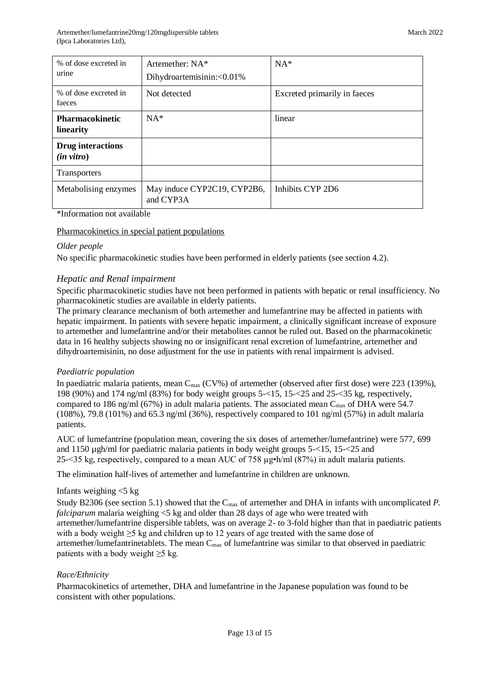| % of dose excreted in<br>urine                   | Artemether: NA*<br>Dihydroartemisinin:<0.01% | $NA*$                        |
|--------------------------------------------------|----------------------------------------------|------------------------------|
| % of dose excreted in<br>faeces                  | Not detected                                 | Excreted primarily in faeces |
| <b>Pharmacokinetic</b><br>linearity              | $NA*$                                        | linear                       |
| <b>Drug</b> interactions<br>$(in \text{ vitro})$ |                                              |                              |
| Transporters                                     |                                              |                              |
| Metabolising enzymes                             | May induce CYP2C19, CYP2B6,<br>and CYP3A     | Inhibits CYP 2D6             |

#### \*Information not available

Pharmacokinetics in special patient populations

## *Older people*

No specific pharmacokinetic studies have been performed in elderly patients (see section 4.2).

## *Hepatic and Renal impairment*

Specific pharmacokinetic studies have not been performed in patients with hepatic or renal insufficiency. No pharmacokinetic studies are available in elderly patients.

The primary clearance mechanism of both artemether and lumefantrine may be affected in patients with hepatic impairment. In patients with severe hepatic impairment, a clinically significant increase of exposure to artemether and lumefantrine and/or their metabolites cannot be ruled out. Based on the pharmacokinetic data in 16 healthy subjects showing no or insignificant renal excretion of lumefantrine, artemether and dihydroartemisinin, no dose adjustment for the use in patients with renal impairment is advised.

## *Paediatric population*

In paediatric malaria patients, mean  $C_{\text{max}}$  (CV%) of artemether (observed after first dose) were 223 (139%), 198 (90%) and 174 ng/ml (83%) for body weight groups 5-<15, 15-<25 and 25-<35 kg, respectively, compared to 186 ng/ml (67%) in adult malaria patients. The associated mean  $C_{\text{max}}$  of DHA were 54.7  $(108\%)$ , 79.8 (101%) and 65.3 ng/ml (36%), respectively compared to 101 ng/ml (57%) in adult malaria patients.

AUC of lumefantrine (population mean, covering the six doses of artemether/lumefantrine) were 577, 699 and 1150 µgh/ml for paediatric malaria patients in body weight groups 5-<15, 15-<25 and 25- $\leq$ 35 kg, respectively, compared to a mean AUC of 758  $\mu$ g•h/ml (87%) in adult malaria patients.

The elimination half-lives of artemether and lumefantrine in children are unknown.

## Infants weighing  $<$ 5 kg

Study B2306 (see section 5.1) showed that the C<sub>max</sub> of artemether and DHA in infants with uncomplicated *P*. *falciparum* malaria weighing <5 kg and older than 28 days of age who were treated with artemether/lumefantrine dispersible tablets, was on average 2- to 3-fold higher than that in paediatric patients with a body weight  $\geq 5$  kg and children up to 12 years of age treated with the same dose of artemether/lumefantrinetablets. The mean  $C_{\text{max}}$  of lumefantrine was similar to that observed in paediatric patients with a body weight  $\geq$ 5 kg.

## *Race/Ethnicity*

Pharmacokinetics of artemether, DHA and lumefantrine in the Japanese population was found to be consistent with other populations.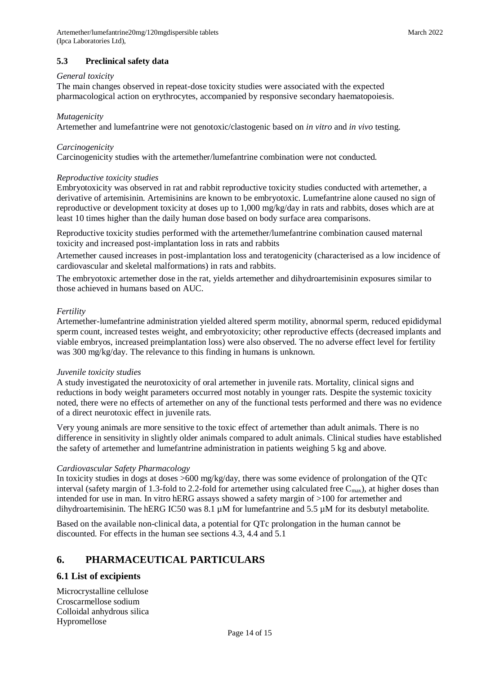## *General toxicity*

The main changes observed in repeat-dose toxicity studies were associated with the expected pharmacological action on erythrocytes, accompanied by responsive secondary haematopoiesis.

## *Mutagenicity*

Artemether and lumefantrine were not genotoxic/clastogenic based on *in vitro* and *in vivo* testing.

## *Carcinogenicity*

Carcinogenicity studies with the artemether/lumefantrine combination were not conducted.

## *Reproductive toxicity studies*

Embryotoxicity was observed in rat and rabbit reproductive toxicity studies conducted with artemether, a derivative of artemisinin. Artemisinins are known to be embryotoxic. Lumefantrine alone caused no sign of reproductive or development toxicity at doses up to 1,000 mg/kg/day in rats and rabbits, doses which are at least 10 times higher than the daily human dose based on body surface area comparisons.

Reproductive toxicity studies performed with the artemether/lumefantrine combination caused maternal toxicity and increased post-implantation loss in rats and rabbits

Artemether caused increases in post-implantation loss and teratogenicity (characterised as a low incidence of cardiovascular and skeletal malformations) in rats and rabbits.

The embryotoxic artemether dose in the rat, yields artemether and dihydroartemisinin exposures similar to those achieved in humans based on AUC.

## *Fertility*

Artemether-lumefantrine administration yielded altered sperm motility, abnormal sperm, reduced epididymal sperm count, increased testes weight, and embryotoxicity; other reproductive effects (decreased implants and viable embryos, increased preimplantation loss) were also observed. The no adverse effect level for fertility was 300 mg/kg/day. The relevance to this finding in humans is unknown.

## *Juvenile toxicity studies*

A study investigated the neurotoxicity of oral artemether in juvenile rats. Mortality, clinical signs and reductions in body weight parameters occurred most notably in younger rats. Despite the systemic toxicity noted, there were no effects of artemether on any of the functional tests performed and there was no evidence of a direct neurotoxic effect in juvenile rats.

Very young animals are more sensitive to the toxic effect of artemether than adult animals. There is no difference in sensitivity in slightly older animals compared to adult animals. Clinical studies have established the safety of artemether and lumefantrine administration in patients weighing 5 kg and above.

## *Cardiovascular Safety Pharmacology*

In toxicity studies in dogs at doses >600 mg/kg/day, there was some evidence of prolongation of the QTc interval (safety margin of 1.3-fold to 2.2-fold for artemether using calculated free  $C_{\text{max}}$ ), at higher doses than intended for use in man. In vitro hERG assays showed a safety margin of >100 for artemether and dihydroartemisinin. The hERG IC50 was 8.1 µM for lumefantrine and 5.5 µM for its desbutyl metabolite.

Based on the available non-clinical data, a potential for QTc prolongation in the human cannot be discounted. For effects in the human see sections 4.3, 4.4 and 5.1

# **6. PHARMACEUTICAL PARTICULARS**

## **6.1 List of excipients**

Microcrystalline cellulose Croscarmellose sodium Colloidal anhydrous silica Hypromellose